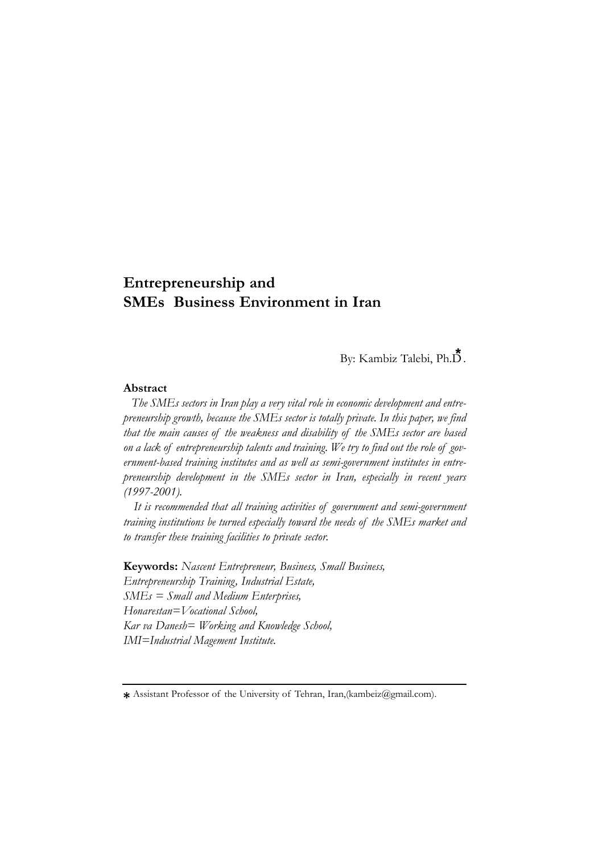By: Kambiz Talebi, Ph.D . **\***

# **Abstract**

*The SMEs sectors in Iran play a very vital role in economic development and entrepreneurship growth, because the SMEs sector is totally private. In this paper, we find that the main causes of the weakness and disability of the SMEs sector are based on a lack of entrepreneurship talents and training. We try to find out the role of government-based training institutes and as well as semi-government institutes in entrepreneurship development in the SMEs sector in Iran, especially in recent years (1997-2001).*

*It is recommended that all training activities of government and semi-government training institutions be turned especially toward the needs of the SMEs market and to transfer these training facilities to private sector.*

**Keywords:** *Nascent Entrepreneur, Business, Small Business, Entrepreneurship Training, Industrial Estate, SMEs = Small and Medium Enterprises, Honarestan=Vocational School, Kar va Danesh= Working and Knowledge School, IMI=Industrial Magement Institute.*

**<sup>\*</sup>** Assistant Professor of the University of Tehran, Iran,(kambeiz@gmail.com).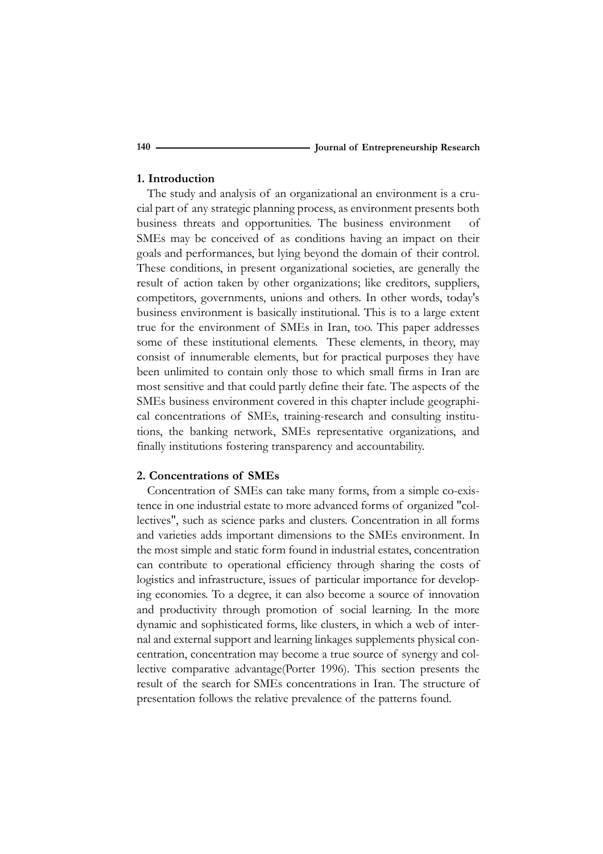### **1. Introduction**

The study and analysis of an organizational an environment is a crucial part of any strategic planning process, as environment presents both business threats and opportunities. The business environment of SMEs may be conceived of as conditions having an impact on their goals and performances, but lying beyond the domain of their control. These conditions, in present organizational societies, are generally the result of action taken by other organizations; like creditors, suppliers, competitors, governments, unions and others. In other words, today's business environment is basically institutional. This is to a large extent true for the environment of SMEs in Iran, too. This paper addresses some of these institutional elements. These elements, in theory, may consist of innumerable elements, but for practical purposes they have been unlimited to contain only those to which small firms in Iran are most sensitive and that could partly define their fate. The aspects of the SMEs business environment covered in this chapter include geographical concentrations of SMEs, training-research and consulting institutions, the banking network, SMEs representative organizations, and finally institutions fostering transparency and accountability.

# **2. Concentrations of SMEs**

Concentration of SMEs can take many forms, from a simple co-existence in one industrial estate to more advanced forms of organized "collectives", such as science parks and clusters. Concentration in all forms and varieties adds important dimensions to the SMEs environment. In the most simple and static form found in industrial estates, concentration can contribute to operational efficiency through sharing the costs of logistics and infrastructure, issues of particular importance for developing economies. To a degree, it can also become a source of innovation and productivity through promotion of social learning. In the more dynamic and sophisticated forms, like clusters, in which a web of internal and external support and learning linkages supplements physical concentration, concentration may become a true source of synergy and collective comparative advantage(Porter 1996). This section presents the result of the search for SMEs concentrations in Iran. The structure of presentation follows the relative prevalence of the patterns found.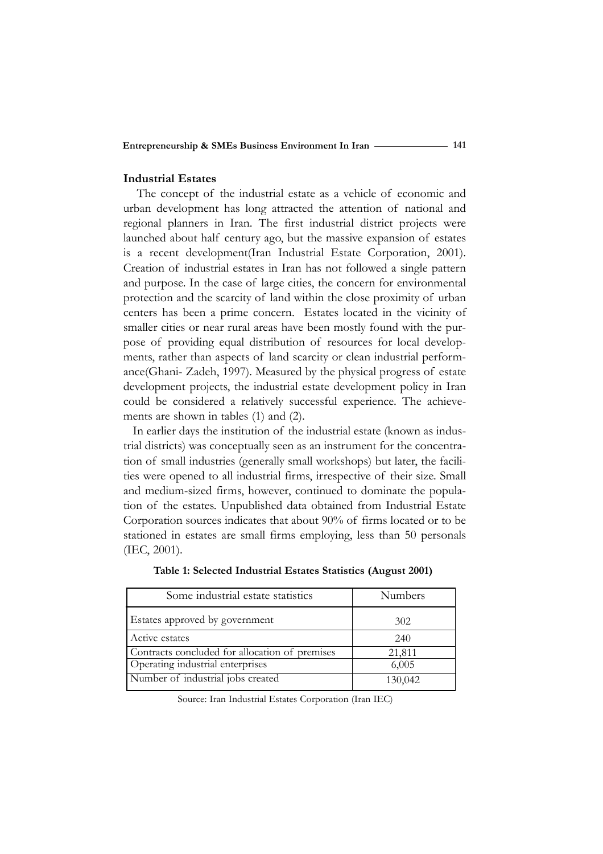### **Industrial Estates**

The concept of the industrial estate as a vehicle of economic and urban development has long attracted the attention of national and regional planners in Iran. The first industrial district projects were launched about half century ago, but the massive expansion of estates is a recent development(Iran Industrial Estate Corporation, 2001). Creation of industrial estates in Iran has not followed a single pattern and purpose. In the case of large cities, the concern for environmental protection and the scarcity of land within the close proximity of urban centers has been a prime concern. Estates located in the vicinity of smaller cities or near rural areas have been mostly found with the purpose of providing equal distribution of resources for local developments, rather than aspects of land scarcity or clean industrial performance(Ghani- Zadeh, 1997). Measured by the physical progress of estate development projects, the industrial estate development policy in Iran could be considered a relatively successful experience. The achievements are shown in tables (1) and (2).

In earlier days the institution of the industrial estate (known as industrial districts) was conceptually seen as an instrument for the concentration of small industries (generally small workshops) but later, the facilities were opened to all industrial firms, irrespective of their size. Small and medium-sized firms, however, continued to dominate the population of the estates. Unpublished data obtained from Industrial Estate Corporation sources indicates that about 90% of firms located or to be stationed in estates are small firms employing, less than 50 personals (IEC, 2001).

| Some industrial estate statistics              | <b>Numbers</b> |
|------------------------------------------------|----------------|
| Estates approved by government                 | 302            |
| Active estates                                 | 240            |
| Contracts concluded for allocation of premises | 21,811         |
| Operating industrial enterprises               | 6,005          |
| Number of industrial jobs created              | 130,042        |

**Table 1: Selected Industrial Estates Statistics (August 2001)**

Source: Iran Industrial Estates Corporation (Iran IEC)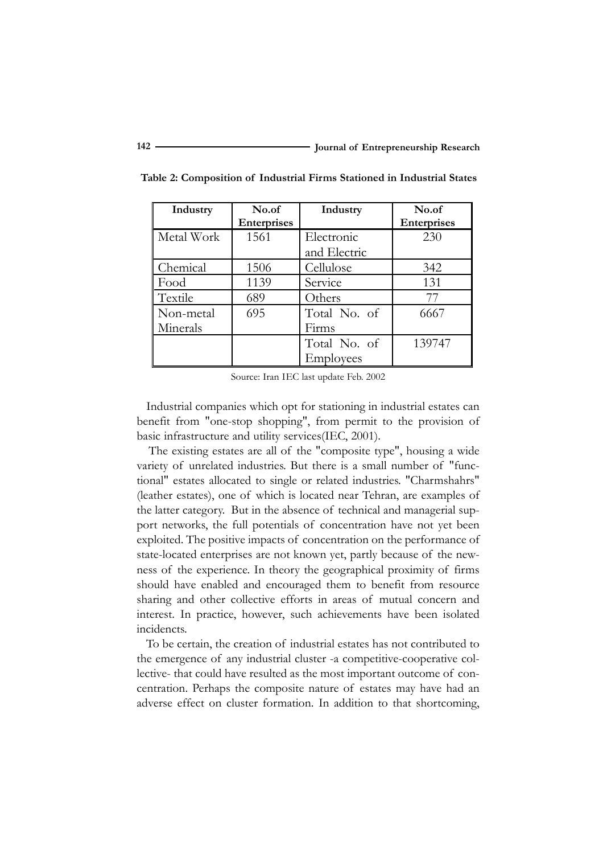| Industry   | No.of              | Industry     | No.of              |
|------------|--------------------|--------------|--------------------|
|            | <b>Enterprises</b> |              | <b>Enterprises</b> |
| Metal Work | 1561               | Electronic   | 230                |
|            |                    | and Electric |                    |
| Chemical   | 1506               | Cellulose    | 342                |
| Food       | 1139               | Service      | 131                |
| Textile    | 689                | Others       | 77                 |
| Non-metal  | 695                | Total No. of | 6667               |
| Minerals   |                    | Firms        |                    |
|            |                    | Total No. of | 139747             |
|            |                    | Employees    |                    |

**Table 2: Composition of Industrial Firms Stationed in Industrial States**

Source: Iran IEC last update Feb. 2002

Industrial companies which opt for stationing in industrial estates can benefit from "one-stop shopping", from permit to the provision of basic infrastructure and utility services(IEC, 2001).

The existing estates are all of the "composite type", housing a wide variety of unrelated industries. But there is a small number of "functional" estates allocated to single or related industries. "Charmshahrs" (leather estates), one of which is located near Tehran, are examples of the latter category. But in the absence of technical and managerial support networks, the full potentials of concentration have not yet been exploited. The positive impacts of concentration on the performance of state-located enterprises are not known yet, partly because of the newness of the experience. In theory the geographical proximity of firms should have enabled and encouraged them to benefit from resource sharing and other collective efforts in areas of mutual concern and interest. In practice, however, such achievements have been isolated incidencts.

To be certain, the creation of industrial estates has not contributed to the emergence of any industrial cluster -a competitive-cooperative collective- that could have resulted as the most important outcome of concentration. Perhaps the composite nature of estates may have had an adverse effect on cluster formation. In addition to that shortcoming,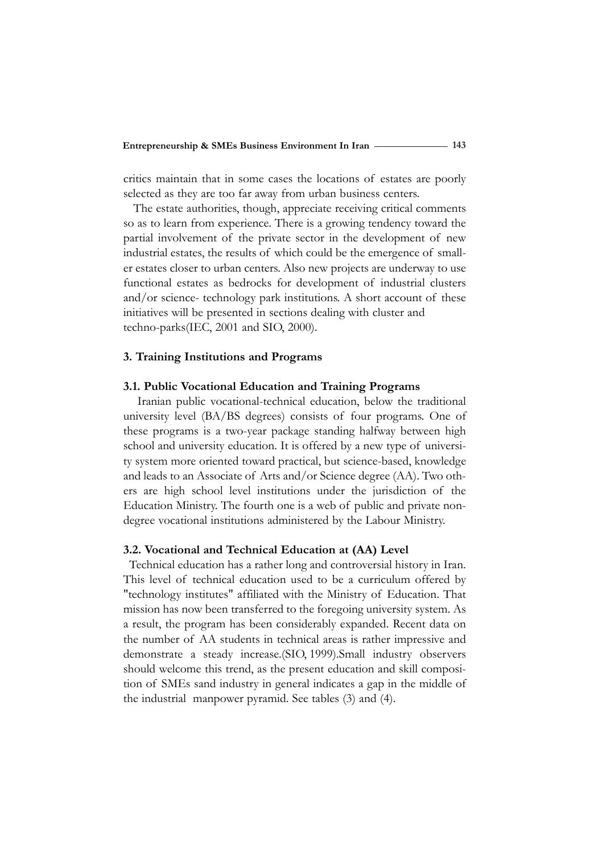critics maintain that in some cases the locations of estates are poorly selected as they are too far away from urban business centers.

The estate authorities, though, appreciate receiving critical comments so as to learn from experience. There is a growing tendency toward the partial involvement of the private sector in the development of new industrial estates, the results of which could be the emergence of smaller estates closer to urban centers. Also new projects are underway to use functional estates as bedrocks for development of industrial clusters and/or science- technology park institutions. A short account of these initiatives will be presented in sections dealing with cluster and techno-parks(IEC, 2001 and SIO, 2000).

### **3. Training Institutions and Programs**

### **3.1. Public Vocational Education and Training Programs**

Iranian public vocational-technical education, below the traditional university level (BA/BS degrees) consists of four programs. One of these programs is a two-year package standing halfway between high school and university education. It is offered by a new type of university system more oriented toward practical, but science-based, knowledge and leads to an Associate of Arts and/or Science degree (AA). Two others are high school level institutions under the jurisdiction of the Education Ministry. The fourth one is a web of public and private nondegree vocational institutions administered by the Labour Ministry.

# **3.2. Vocational and Technical Education at (AA) Level**

Technical education has a rather long and controversial history in Iran. This level of technical education used to be a curriculum offered by "technology institutes" affiliated with the Ministry of Education. That mission has now been transferred to the foregoing university system. As a result, the program has been considerably expanded. Recent data on the number of AA students in technical areas is rather impressive and demonstrate a steady increase.(SIO, 1999).Small industry observers should welcome this trend, as the present education and skill composition of SMEs sand industry in general indicates a gap in the middle of the industrial manpower pyramid. See tables (3) and (4).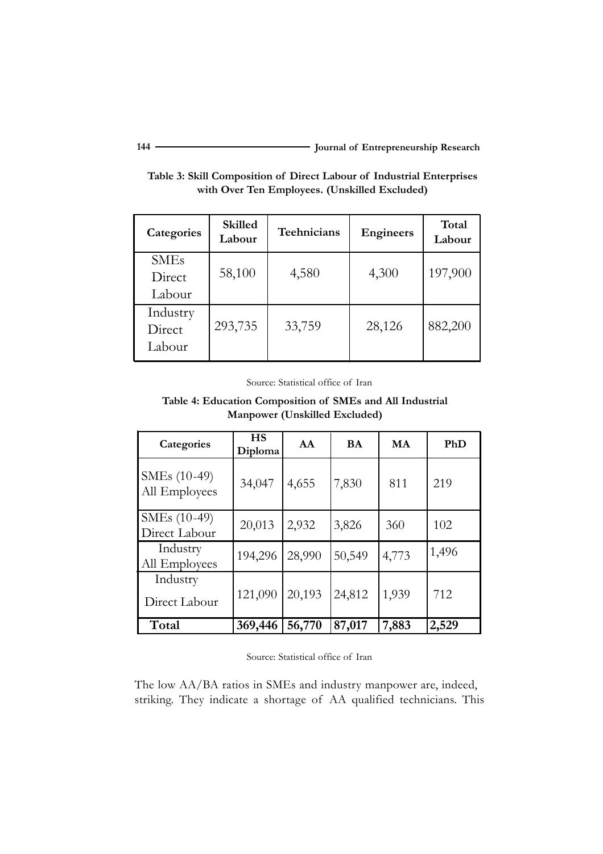| Categories                      | <b>Skilled</b><br>Labour | <b>Teehnicians</b> | <b>Engineers</b> | Total<br>Labour |
|---------------------------------|--------------------------|--------------------|------------------|-----------------|
| <b>SMEs</b><br>Direct<br>Labour | 58,100                   | 4,580              | 4,300            | 197,900         |
| Industry<br>Direct<br>Labour    | 293,735                  | 33,759             | 28,126           | 882,200         |

**Table 3: Skill Composition of Direct Labour of Industrial Enterprises with Over Ten Employees. (Unskilled Excluded)**

Source: Statistical office of Iran

**Table 4: Education Composition of SMEs and All Industrial Manpower (Unskilled Excluded)**

| Categories                                | <b>HS</b><br>Diploma | AA     | <b>BA</b> | <b>MA</b> | <b>PhD</b> |
|-------------------------------------------|----------------------|--------|-----------|-----------|------------|
| SME <sub>s</sub> (10-49)<br>All Employees | 34,047               | 4,655  | 7,830     | 811       | 219        |
| SME <sub>s</sub> (10-49)<br>Direct Labour | 20,013               | 2,932  | 3,826     | 360       | 102        |
| Industry<br>All Employees                 | 194,296              | 28,990 | 50,549    | 4,773     | 1,496      |
| Industry<br>Direct Labour                 | 121,090              | 20,193 | 24,812    | 1,939     | 712        |
| Total                                     | 369,446              | 56,770 | 87,017    | 7,883     | 2,529      |

Source: Statistical office of Iran

The low AA/BA ratios in SMEs and industry manpower are, indeed, striking. They indicate a shortage of AA qualified technicians. This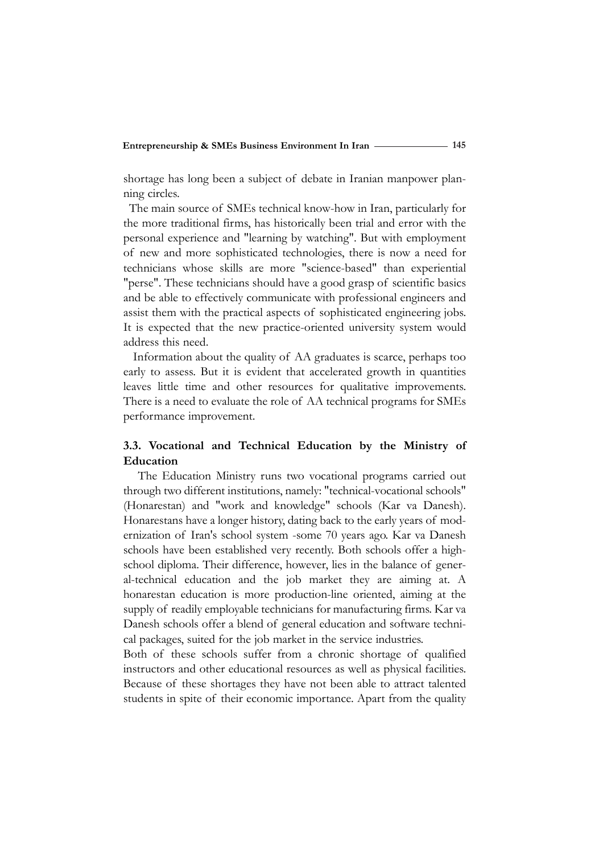shortage has long been a subject of debate in Iranian manpower planning circles.

The main source of SMEs technical know-how in Iran, particularly for the more traditional firms, has historically been trial and error with the personal experience and "learning by watching". But with employment of new and more sophisticated technologies, there is now a need for technicians whose skills are more "science-based" than experiential "perse". These technicians should have a good grasp of scientific basics and be able to effectively communicate with professional engineers and assist them with the practical aspects of sophisticated engineering jobs. It is expected that the new practice-oriented university system would address this need.

Information about the quality of AA graduates is scarce, perhaps too early to assess. But it is evident that accelerated growth in quantities leaves little time and other resources for qualitative improvements. There is a need to evaluate the role of AA technical programs for SMEs performance improvement.

# **3.3. Vocational and Technical Education by the Ministry of Education**

The Education Ministry runs two vocational programs carried out through two different institutions, namely: "technical-vocational schools" (Honarestan) and "work and knowledge" schools (Kar va Danesh). Honarestans have a longer history, dating back to the early years of modernization of Iran's school system -some 70 years ago. Kar va Danesh schools have been established very recently. Both schools offer a highschool diploma. Their difference, however, lies in the balance of general-technical education and the job market they are aiming at. A honarestan education is more production-line oriented, aiming at the supply of readily employable technicians for manufacturing firms. Kar va Danesh schools offer a blend of general education and software technical packages, suited for the job market in the service industries.

Both of these schools suffer from a chronic shortage of qualified instructors and other educational resources as well as physical facilities. Because of these shortages they have not been able to attract talented students in spite of their economic importance. Apart from the quality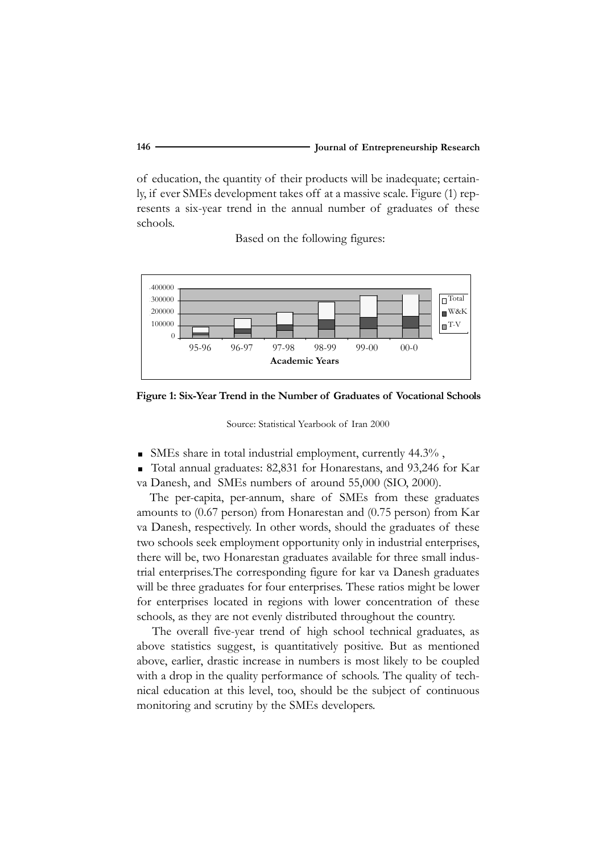of education, the quantity of their products will be inadequate; certainly, if ever SMEs development takes off at a massive scale. Figure (1) represents a six-year trend in the annual number of graduates of these schools.

Based on the following figures:



**Figure 1: Six-Year Trend in the Number of Graduates of Vocational Schools**

Source: Statistical Yearbook of Iran 2000

SMEs share in total industrial employment, currently 44.3% ,

Total annual graduates: 82,831 for Honarestans, and 93,246 for Kar

va Danesh, and SMEs numbers of around 55,000 (SIO, 2000).

The per-capita, per-annum, share of SMEs from these graduates amounts to (0.67 person) from Honarestan and (0.75 person) from Kar va Danesh, respectively. In other words, should the graduates of these two schools seek employment opportunity only in industrial enterprises, there will be, two Honarestan graduates available for three small industrial enterprises.The corresponding figure for kar va Danesh graduates will be three graduates for four enterprises. These ratios might be lower for enterprises located in regions with lower concentration of these schools, as they are not evenly distributed throughout the country.

The overall five-year trend of high school technical graduates, as above statistics suggest, is quantitatively positive. But as mentioned above, earlier, drastic increase in numbers is most likely to be coupled with a drop in the quality performance of schools. The quality of technical education at this level, too, should be the subject of continuous monitoring and scrutiny by the SMEs developers.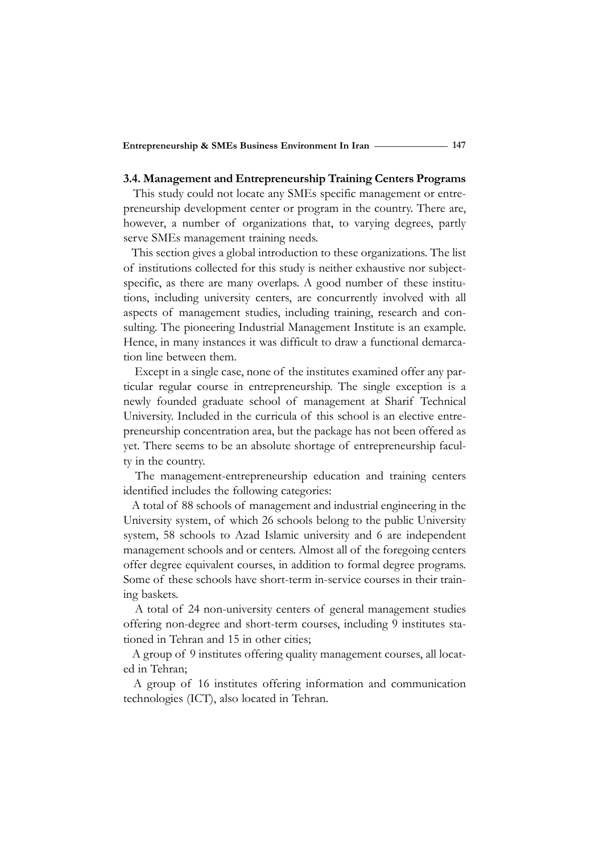### **3.4. Management and Entrepreneurship Training Centers Programs**

This study could not locate any SMEs specific management or entrepreneurship development center or program in the country. There are, however, a number of organizations that, to varying degrees, partly serve SMEs management training needs.

This section gives a global introduction to these organizations. The list of institutions collected for this study is neither exhaustive nor subjectspecific, as there are many overlaps. A good number of these institutions, including university centers, are concurrently involved with all aspects of management studies, including training, research and consulting. The pioneering Industrial Management Institute is an example. Hence, in many instances it was difficult to draw a functional demarcation line between them.

Except in a single case, none of the institutes examined offer any particular regular course in entrepreneurship. The single exception is a newly founded graduate school of management at Sharif Technical University. Included in the curricula of this school is an elective entrepreneurship concentration area, but the package has not been offered as yet. There seems to be an absolute shortage of entrepreneurship faculty in the country.

The management-entrepreneurship education and training centers identified includes the following categories:

A total of 88 schools of management and industrial engineering in the University system, of which 26 schools belong to the public University system, 58 schools to Azad Islamic university and 6 are independent management schools and or centers. Almost all of the foregoing centers offer degree equivalent courses, in addition to formal degree programs. Some of these schools have short-term in-service courses in their training baskets.

A total of 24 non-university centers of general management studies offering non-degree and short-term courses, including 9 institutes stationed in Tehran and 15 in other cities;

A group of 9 institutes offering quality management courses, all located in Tehran;

A group of 16 institutes offering information and communication technologies (ICT), also located in Tehran.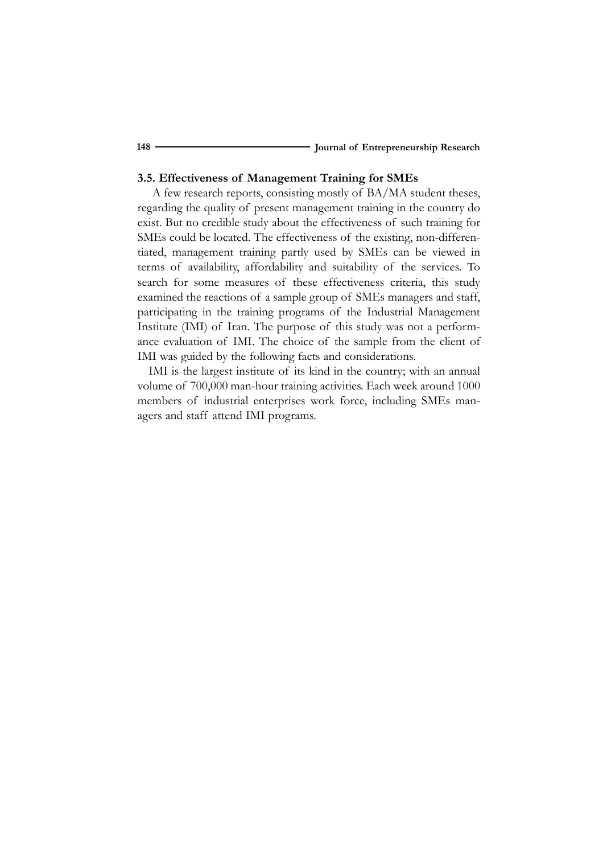## **3.5. Effectiveness of Management Training for SMEs**

A few research reports, consisting mostly of BA/MA student theses, regarding the quality of present management training in the country do exist. But no credible study about the effectiveness of such training for SMEs could be located. The effectiveness of the existing, non-differentiated, management training partly used by SMEs can be viewed in terms of availability, affordability and suitability of the services. To search for some measures of these effectiveness criteria, this study examined the reactions of a sample group of SMEs managers and staff, participating in the training programs of the Industrial Management Institute (IMI) of Iran. The purpose of this study was not a performance evaluation of IMI. The choice of the sample from the client of IMI was guided by the following facts and considerations.

IMI is the largest institute of its kind in the country; with an annual volume of 700,000 man-hour training activities. Each week around 1000 members of industrial enterprises work force, including SMEs managers and staff attend IMI programs.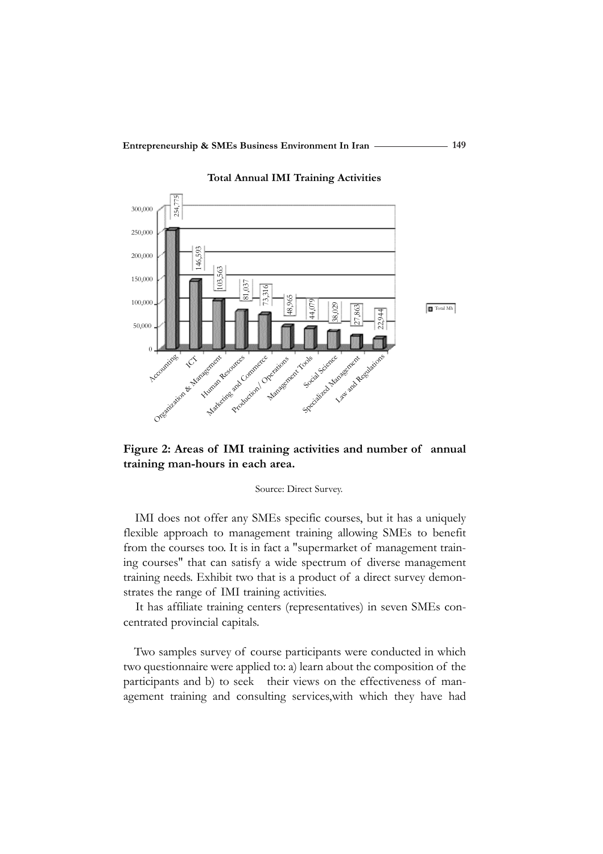

**Total Annual IMI Training Activities**

**Figure 2: Areas of IMI training activities and number of annual training man-hours in each area.**

Source: Direct Survey.

IMI does not offer any SMEs specific courses, but it has a uniquely flexible approach to management training allowing SMEs to benefit from the courses too. It is in fact a "supermarket of management training courses" that can satisfy a wide spectrum of diverse management training needs. Exhibit two that is a product of a direct survey demonstrates the range of IMI training activities.

It has affiliate training centers (representatives) in seven SMEs concentrated provincial capitals.

Two samples survey of course participants were conducted in which two questionnaire were applied to: a) learn about the composition of the participants and b) to seek their views on the effectiveness of management training and consulting services,with which they have had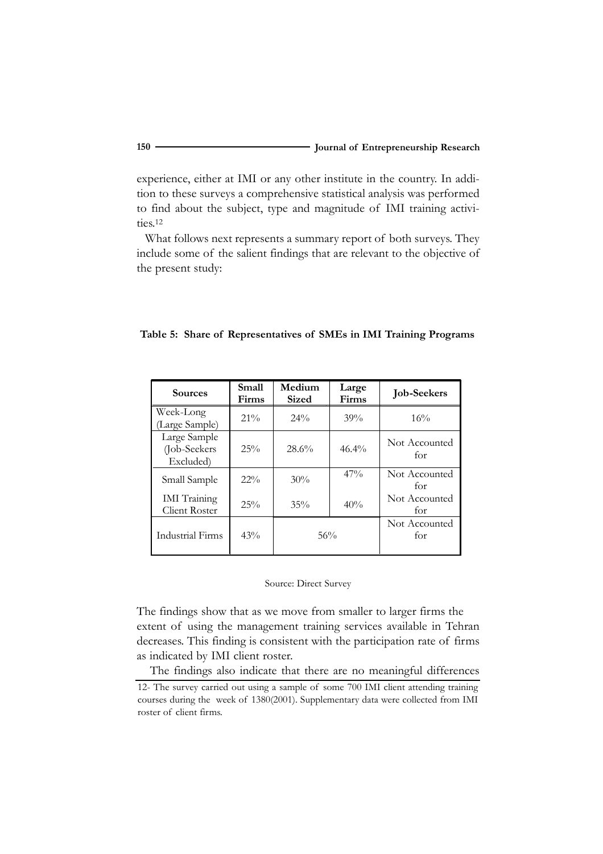experience, either at IMI or any other institute in the country. In addition to these surveys a comprehensive statistical analysis was performed to find about the subject, type and magnitude of IMI training activities.12

What follows next represents a summary report of both surveys. They include some of the salient findings that are relevant to the objective of the present study:

|  |  | Table 5: Share of Representatives of SMEs in IMI Training Programs |  |  |  |  |  |
|--|--|--------------------------------------------------------------------|--|--|--|--|--|
|--|--|--------------------------------------------------------------------|--|--|--|--|--|

| <b>Sources</b>                            | Small<br>Firms | Medium<br><b>Sized</b> | Large<br>Firms | <b>Job-Seekers</b>   |
|-------------------------------------------|----------------|------------------------|----------------|----------------------|
| Week-Long<br>(Large Sample)               | $21\%$         | $24\%$                 | 39%            | 16%                  |
| Large Sample<br>(Job-Seekers<br>Excluded) | 25%            | 28.6%                  | $46.4\%$       | Not Accounted<br>for |
| Small Sample                              | $22\%$         | 30%                    | 47%            | Not Accounted<br>for |
| <b>IMI</b> Training<br>Client Roster      | 25%            | $35\%$                 | 40%            | Not Accounted<br>for |
| Industrial Firms                          | 43%            | 56%                    |                | Not Accounted<br>for |

Source: Direct Survey

The findings show that as we move from smaller to larger firms the extent of using the management training services available in Tehran decreases. This finding is consistent with the participation rate of firms as indicated by IMI client roster.

The findings also indicate that there are no meaningful differences

**150**

<sup>12-</sup> The survey carried out using a sample of some 700 IMI client attending training courses during the week of 1380(2001). Supplementary data were collected from IMI roster of client firms.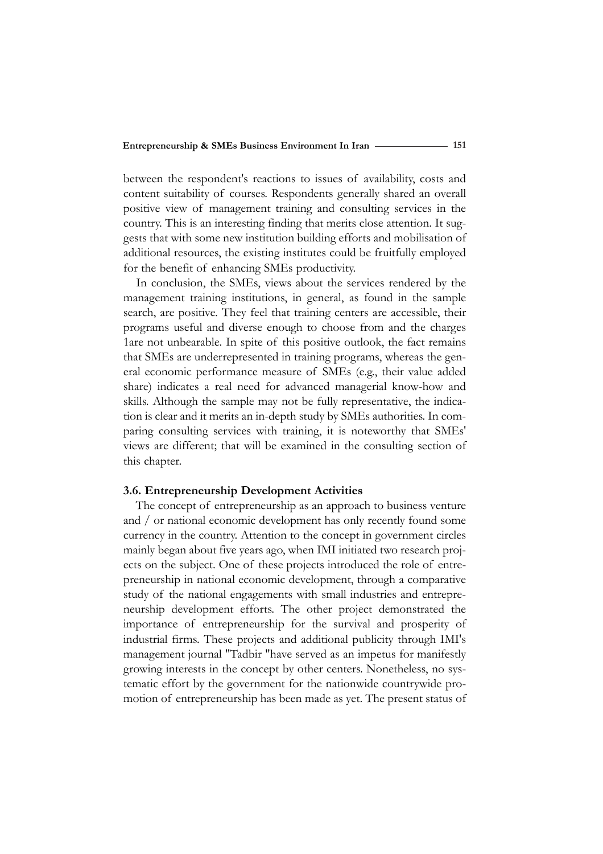between the respondent's reactions to issues of availability, costs and content suitability of courses. Respondents generally shared an overall positive view of management training and consulting services in the country. This is an interesting finding that merits close attention. It suggests that with some new institution building efforts and mobilisation of additional resources, the existing institutes could be fruitfully employed for the benefit of enhancing SMEs productivity.

In conclusion, the SMEs, views about the services rendered by the management training institutions, in general, as found in the sample search, are positive. They feel that training centers are accessible, their programs useful and diverse enough to choose from and the charges 1are not unbearable. In spite of this positive outlook, the fact remains that SMEs are underrepresented in training programs, whereas the general economic performance measure of SMEs (e.g., their value added share) indicates a real need for advanced managerial know-how and skills. Although the sample may not be fully representative, the indication is clear and it merits an in-depth study by SMEs authorities. In comparing consulting services with training, it is noteworthy that SMEs' views are different; that will be examined in the consulting section of this chapter.

### **3.6. Entrepreneurship Development Activities**

The concept of entrepreneurship as an approach to business venture and / or national economic development has only recently found some currency in the country. Attention to the concept in government circles mainly began about five years ago, when IMI initiated two research projects on the subject. One of these projects introduced the role of entrepreneurship in national economic development, through a comparative study of the national engagements with small industries and entrepreneurship development efforts. The other project demonstrated the importance of entrepreneurship for the survival and prosperity of industrial firms. These projects and additional publicity through IMI's management journal "Tadbir "have served as an impetus for manifestly growing interests in the concept by other centers. Nonetheless, no systematic effort by the government for the nationwide countrywide promotion of entrepreneurship has been made as yet. The present status of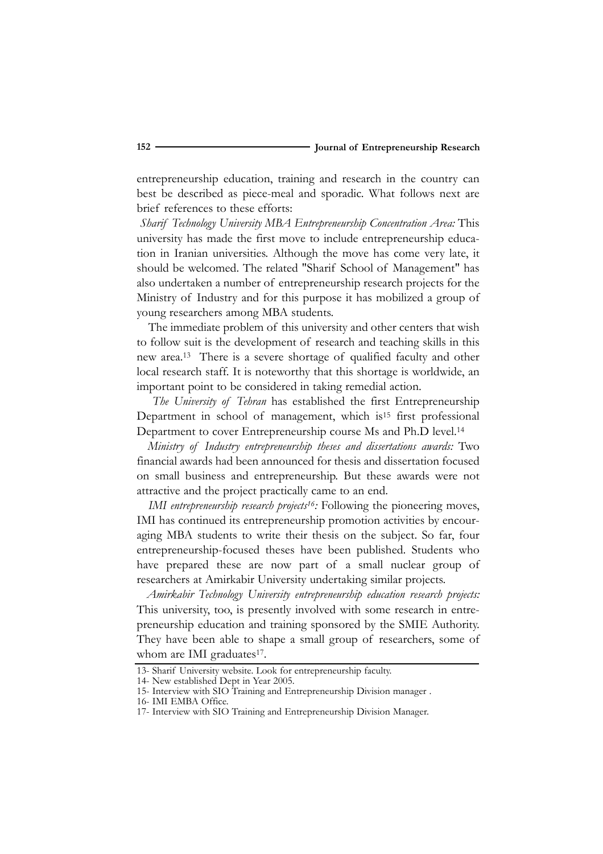entrepreneurship education, training and research in the country can best be described as piece-meal and sporadic. What follows next are brief references to these efforts:

*Sharif Technology University MBA Entrepreneurship Concentration Area:* This university has made the first move to include entrepreneurship education in Iranian universities. Although the move has come very late, it should be welcomed. The related "Sharif School of Management" has also undertaken a number of entrepreneurship research projects for the Ministry of Industry and for this purpose it has mobilized a group of young researchers among MBA students.

The immediate problem of this university and other centers that wish to follow suit is the development of research and teaching skills in this new area.13 There is a severe shortage of qualified faculty and other local research staff. It is noteworthy that this shortage is worldwide, an important point to be considered in taking remedial action.

*The University of Tehran* has established the first Entrepreneurship Department in school of management, which is<sup>15</sup> first professional Department to cover Entrepreneurship course Ms and Ph.D level.14

*Ministry of Industry entrepreneurship theses and dissertations awards:* Two financial awards had been announced for thesis and dissertation focused on small business and entrepreneurship. But these awards were not attractive and the project practically came to an end.

*IMI entrepreneurship research projects<sup>16</sup>:* Following the pioneering moves, IMI has continued its entrepreneurship promotion activities by encouraging MBA students to write their thesis on the subject. So far, four entrepreneurship-focused theses have been published. Students who have prepared these are now part of a small nuclear group of researchers at Amirkabir University undertaking similar projects.

*Amirkabir Technology University entrepreneurship education research projects:* This university, too, is presently involved with some research in entrepreneurship education and training sponsored by the SMIE Authority. They have been able to shape a small group of researchers, some of whom are IMI graduates<sup>17</sup>.

**152**

<sup>13-</sup> Sharif University website. Look for entrepreneurship faculty.

<sup>14-</sup> New established Dept in Year 2005.

<sup>15-</sup> Interview with SIO Training and Entrepreneurship Division manager .

<sup>16-</sup> IMI EMBA Office.

<sup>17-</sup> Interview with SIO Training and Entrepreneurship Division Manager.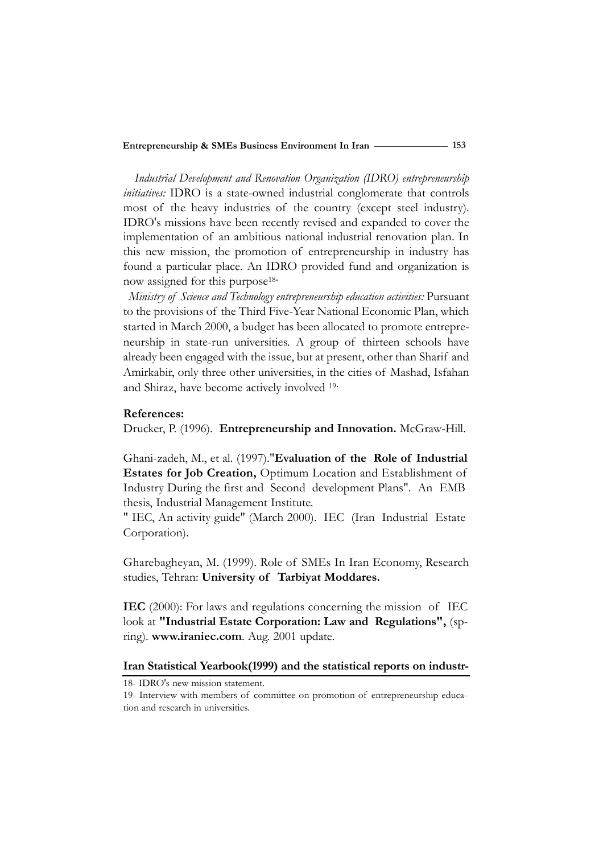*Industrial Development and Renovation Organization (IDRO) entrepreneurship initiatives:* IDRO is a state-owned industrial conglomerate that controls most of the heavy industries of the country (except steel industry). IDRO's missions have been recently revised and expanded to cover the implementation of an ambitious national industrial renovation plan. In this new mission, the promotion of entrepreneurship in industry has found a particular place. An IDRO provided fund and organization is now assigned for this purpose<sup>18.</sup>

*Ministry of Science and Technology entrepreneurship education activities:* Pursuant to the provisions of the Third Five-Year National Economic Plan, which started in March 2000, a budget has been allocated to promote entrepreneurship in state-run universities. A group of thirteen schools have already been engaged with the issue, but at present, other than Sharif and Amirkabir, only three other universities, in the cities of Mashad, Isfahan and Shiraz, have become actively involved 19.

### **References:**

Drucker, P. (1996). **Entrepreneurship and Innovation.** McGraw-Hill.

Ghani-zadeh, M., et al. (1997)."**Evaluation of the Role of Industrial Estates for Job Creation,** Optimum Location and Establishment of Industry During the first and Second development Plans". An EMB thesis, Industrial Management Institute.

" IEC, An activity guide" (March 2000). IEC (Iran Industrial Estate Corporation).

Gharebagheyan, M. (1999). Role of SMEs In Iran Economy, Research studies, Tehran: **University of Tarbiyat Moddares.**

**IEC** (2000): For laws and regulations concerning the mission of IEC look at **"Industrial Estate Corporation: Law and Regulations",** (spring). **www.iraniec.com**. Aug. 2001 update.

### **Iran Statistical Yearbook(1999) and the statistical reports on industr-**

18- IDRO's new mission statement.

<sup>19-</sup> Interview with members of committee on promotion of entrepreneurship education and research in universities.